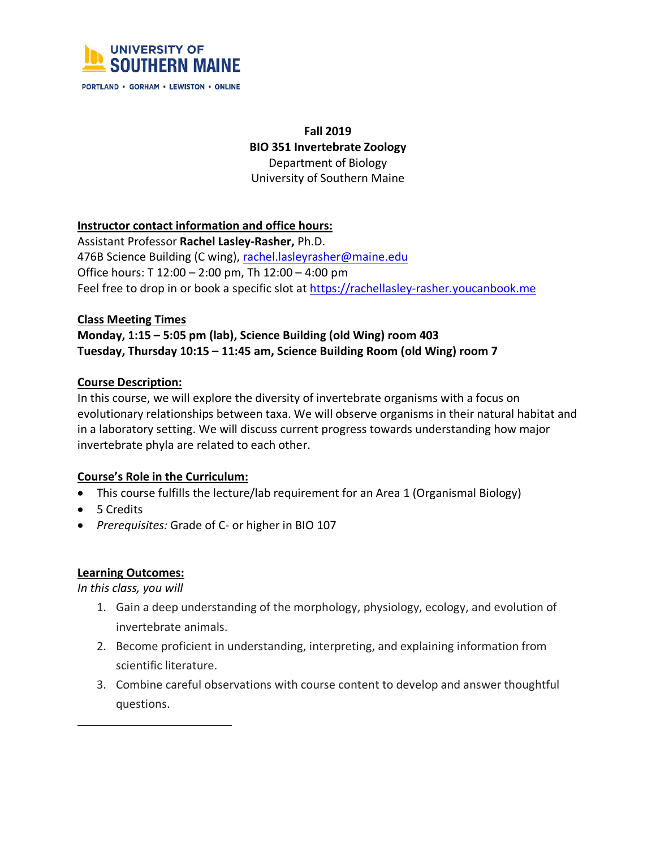

PORTLAND . GORHAM . LEWISTON . ONLINE

# **Fall 2019 BIO 351 Invertebrate Zoology** Department of Biology University of Southern Maine

#### **Instructor contact information and office hours:**

Assistant Professor **Rachel Lasley-Rasher,** Ph.D. 476B Science Building (C wing), rachel.lasleyrasher@maine.edu Office hours: T 12:00 – 2:00 pm, Th 12:00 – 4:00 pm Feel free to drop in or book a specific slot at https://rachellasley-rasher.youcanbook.me

#### **Class Meeting Times**

# **Monday, 1:15 – 5:05 pm (lab), Science Building (old Wing) room 403 Tuesday, Thursday 10:15 – 11:45 am, Science Building Room (old Wing) room 7**

#### **Course Description:**

In this course, we will explore the diversity of invertebrate organisms with a focus on evolutionary relationships between taxa. We will observe organisms in their natural habitat and in a laboratory setting. We will discuss current progress towards understanding how major invertebrate phyla are related to each other.

## **Course's Role in the Curriculum:**

- This course fulfills the lecture/lab requirement for an Area 1 (Organismal Biology)
- 5 Credits
- *Prerequisites:* Grade of C- or higher in BIO 107

#### **Learning Outcomes:**

*In this class, you will*

- 1. Gain a deep understanding of the morphology, physiology, ecology, and evolution of invertebrate animals.
- 2. Become proficient in understanding, interpreting, and explaining information from scientific literature.
- 3. Combine careful observations with course content to develop and answer thoughtful questions.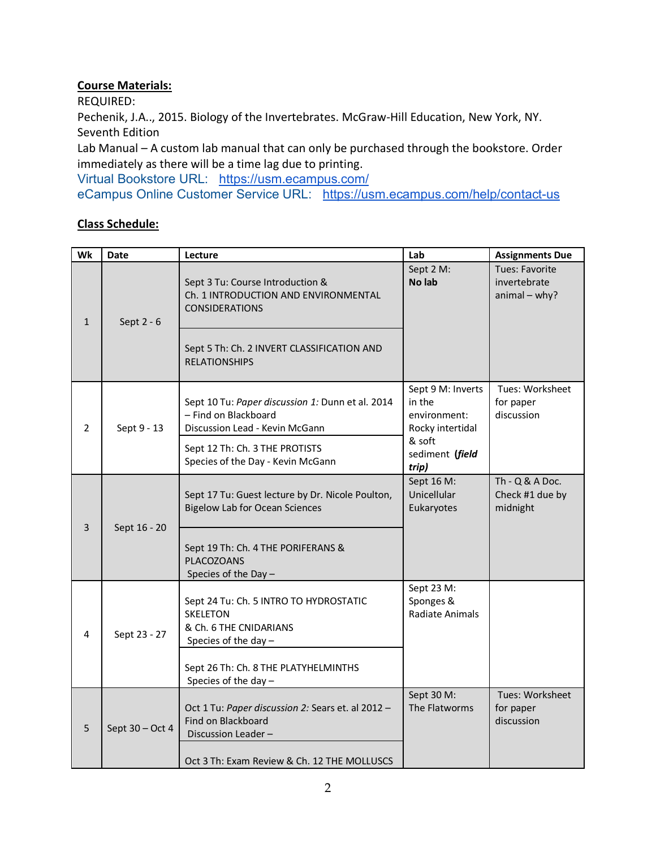# **Course Materials:**

REQUIRED:

Pechenik, J.A.., 2015. Biology of the Invertebrates. McGraw-Hill Education, New York, NY. Seventh Edition

Lab Manual – A custom lab manual that can only be purchased through the bookstore. Order immediately as there will be a time lag due to printing.

Virtual Bookstore URL: https://usm.ecampus.com/

eCampus Online Customer Service URL: https://usm.ecampus.com/help/contact-us

## **Class Schedule:**

| Wk             | <b>Date</b>       | Lecture                                                                                                       | Lab                                                             | <b>Assignments Due</b>                            |
|----------------|-------------------|---------------------------------------------------------------------------------------------------------------|-----------------------------------------------------------------|---------------------------------------------------|
| $\mathbf{1}$   | Sept 2 - 6        | Sept 3 Tu: Course Introduction &<br>Ch. 1 INTRODUCTION AND ENVIRONMENTAL<br><b>CONSIDERATIONS</b>             | Sept 2 M:<br>No lab                                             | Tues: Favorite<br>invertebrate<br>$animal - why?$ |
|                |                   | Sept 5 Th: Ch. 2 INVERT CLASSIFICATION AND<br><b>RELATIONSHIPS</b>                                            |                                                                 |                                                   |
| $\overline{2}$ | Sept 9 - 13       | Sept 10 Tu: Paper discussion 1: Dunn et al. 2014<br>- Find on Blackboard<br>Discussion Lead - Kevin McGann    | Sept 9 M: Inverts<br>in the<br>environment:<br>Rocky intertidal | Tues: Worksheet<br>for paper<br>discussion        |
|                |                   | Sept 12 Th: Ch. 3 THE PROTISTS<br>Species of the Day - Kevin McGann                                           | & soft<br>sediment (field<br>trip)                              |                                                   |
| 3              | Sept 16 - 20      | Sept 17 Tu: Guest lecture by Dr. Nicole Poulton,<br><b>Bigelow Lab for Ocean Sciences</b>                     | Sept 16 M:<br>Unicellular<br>Eukaryotes                         | $Th - Q & A Doc.$<br>Check #1 due by<br>midnight  |
|                |                   | Sept 19 Th: Ch. 4 THE PORIFERANS &<br><b>PLACOZOANS</b><br>Species of the Day -                               |                                                                 |                                                   |
| 4              | Sept 23 - 27      | Sept 24 Tu: Ch. 5 INTRO TO HYDROSTATIC<br><b>SKELETON</b><br>& Ch. 6 THE CNIDARIANS<br>Species of the day $-$ | Sept 23 M:<br>Sponges &<br><b>Radiate Animals</b>               |                                                   |
|                |                   | Sept 26 Th: Ch. 8 THE PLATYHELMINTHS<br>Species of the day -                                                  |                                                                 |                                                   |
| 5              | Sept $30 - Oct 4$ | Oct 1 Tu: Paper discussion 2: Sears et. al 2012 -<br>Find on Blackboard<br>Discussion Leader-                 | Sept 30 M:<br>The Flatworms                                     | Tues: Worksheet<br>for paper<br>discussion        |
|                |                   | Oct 3 Th: Exam Review & Ch. 12 THE MOLLUSCS                                                                   |                                                                 |                                                   |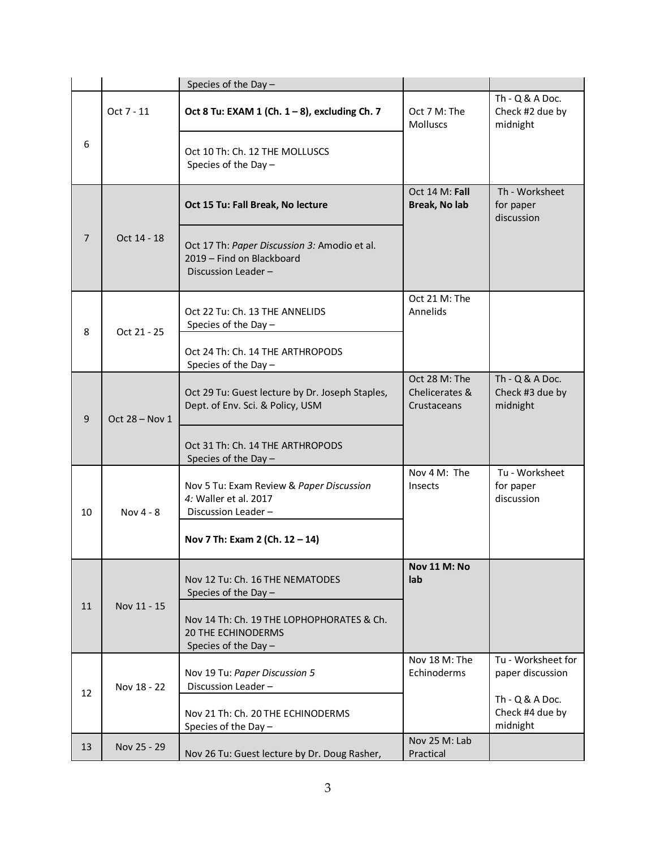|    |                  | Species of the Day-                                                                             |                                                |                                                  |
|----|------------------|-------------------------------------------------------------------------------------------------|------------------------------------------------|--------------------------------------------------|
| 6  | Oct 7 - 11       | Oct 8 Tu: EXAM 1 (Ch. 1 - 8), excluding Ch. 7                                                   | Oct 7 M: The<br><b>Molluscs</b>                | $Th - Q & A Doc.$<br>Check #2 due by<br>midnight |
|    |                  | Oct 10 Th: Ch. 12 THE MOLLUSCS<br>Species of the Day -                                          |                                                |                                                  |
| 7  | Oct 14 - 18      | Oct 15 Tu: Fall Break, No lecture                                                               | Oct 14 M: Fall<br>Break, No lab                | Th - Worksheet<br>for paper<br>discussion        |
|    |                  | Oct 17 Th: Paper Discussion 3: Amodio et al.<br>2019 - Find on Blackboard<br>Discussion Leader- |                                                |                                                  |
| 8  | Oct 21 - 25      | Oct 22 Tu: Ch. 13 THE ANNELIDS<br>Species of the Day -                                          | Oct 21 M: The<br>Annelids                      |                                                  |
|    |                  | Oct 24 Th: Ch. 14 THE ARTHROPODS<br>Species of the Day -                                        |                                                |                                                  |
| 9  | Oct $28 - Nov 1$ | Oct 29 Tu: Guest lecture by Dr. Joseph Staples,<br>Dept. of Env. Sci. & Policy, USM             | Oct 28 M: The<br>Chelicerates &<br>Crustaceans | $Th - Q & A Doc.$<br>Check #3 due by<br>midnight |
|    |                  | Oct 31 Th: Ch. 14 THE ARTHROPODS<br>Species of the Day -                                        |                                                |                                                  |
| 10 | Nov 4 - 8        | Nov 5 Tu: Exam Review & Paper Discussion<br>4: Waller et al. 2017<br>Discussion Leader-         | Nov 4 M: The<br><b>Insects</b>                 | Tu - Worksheet<br>for paper<br>discussion        |
|    |                  | Nov 7 Th: Exam 2 (Ch. 12 - 14)                                                                  |                                                |                                                  |
| 11 | Nov 11 - 15      | Nov 12 Tu: Ch. 16 THE NEMATODES<br>Species of the Day -                                         | Nov 11 M: No<br>lab                            |                                                  |
|    |                  | Nov 14 Th: Ch. 19 THE LOPHOPHORATES & Ch.<br><b>20 THE ECHINODERMS</b><br>Species of the Day -  |                                                |                                                  |
| 12 | Nov 18 - 22      | Nov 19 Tu: Paper Discussion 5<br>Discussion Leader-                                             | Nov 18 M: The<br>Echinoderms                   | Tu - Worksheet for<br>paper discussion           |
|    |                  | Nov 21 Th: Ch. 20 THE ECHINODERMS<br>Species of the Day -                                       |                                                | $Th - Q & A Doc.$<br>Check #4 due by<br>midnight |
| 13 | Nov 25 - 29      | Nov 26 Tu: Guest lecture by Dr. Doug Rasher,                                                    | Nov 25 M: Lab<br>Practical                     |                                                  |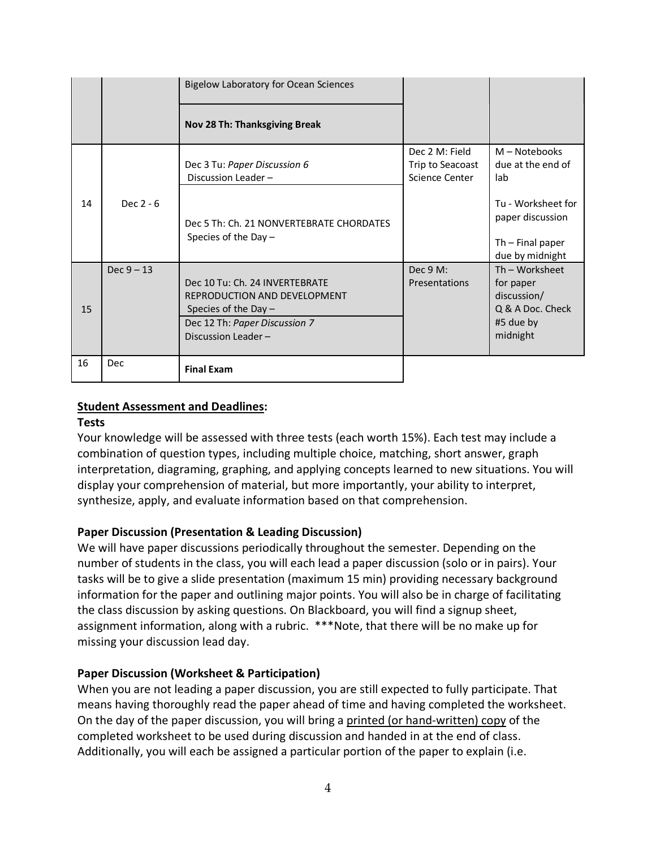|    |              | <b>Bigelow Laboratory for Ocean Sciences</b>                                                                                                     |                                                      |                                                                                         |
|----|--------------|--------------------------------------------------------------------------------------------------------------------------------------------------|------------------------------------------------------|-----------------------------------------------------------------------------------------|
|    |              | Nov 28 Th: Thanksgiving Break                                                                                                                    |                                                      |                                                                                         |
| 14 | Dec $2 - 6$  | Dec 3 Tu: Paper Discussion 6<br>Discussion Leader -                                                                                              | Dec 2 M: Field<br>Trip to Seacoast<br>Science Center | $M - Notebooks$<br>due at the end of<br>lab                                             |
|    |              | Dec 5 Th: Ch. 21 NONVERTEBRATE CHORDATES<br>Species of the Day $-$                                                                               |                                                      | Tu - Worksheet for<br>paper discussion<br>$Th$ – Final paper<br>due by midnight         |
| 15 | $Dec 9 - 13$ | Dec 10 Tu: Ch. 24 INVERTEBRATE<br>REPRODUCTION AND DEVELOPMENT<br>Species of the Day $-$<br>Dec 12 Th: Paper Discussion 7<br>Discussion Leader - | Dec 9 M:<br>Presentations                            | Th - Worksheet<br>for paper<br>discussion/<br>Q & A Doc. Check<br>#5 due by<br>midnight |
| 16 | Dec          | <b>Final Exam</b>                                                                                                                                |                                                      |                                                                                         |

### **Student Assessment and Deadlines:**

#### **Tests**

Your knowledge will be assessed with three tests (each worth 15%). Each test may include a combination of question types, including multiple choice, matching, short answer, graph interpretation, diagraming, graphing, and applying concepts learned to new situations. You will display your comprehension of material, but more importantly, your ability to interpret, synthesize, apply, and evaluate information based on that comprehension.

## **Paper Discussion (Presentation & Leading Discussion)**

We will have paper discussions periodically throughout the semester. Depending on the number of students in the class, you will each lead a paper discussion (solo or in pairs). Your tasks will be to give a slide presentation (maximum 15 min) providing necessary background information for the paper and outlining major points. You will also be in charge of facilitating the class discussion by asking questions. On Blackboard, you will find a signup sheet, assignment information, along with a rubric. \*\*\*Note, that there will be no make up for missing your discussion lead day.

#### **Paper Discussion (Worksheet & Participation)**

When you are not leading a paper discussion, you are still expected to fully participate. That means having thoroughly read the paper ahead of time and having completed the worksheet. On the day of the paper discussion, you will bring a printed (or hand-written) copy of the completed worksheet to be used during discussion and handed in at the end of class. Additionally, you will each be assigned a particular portion of the paper to explain (i.e.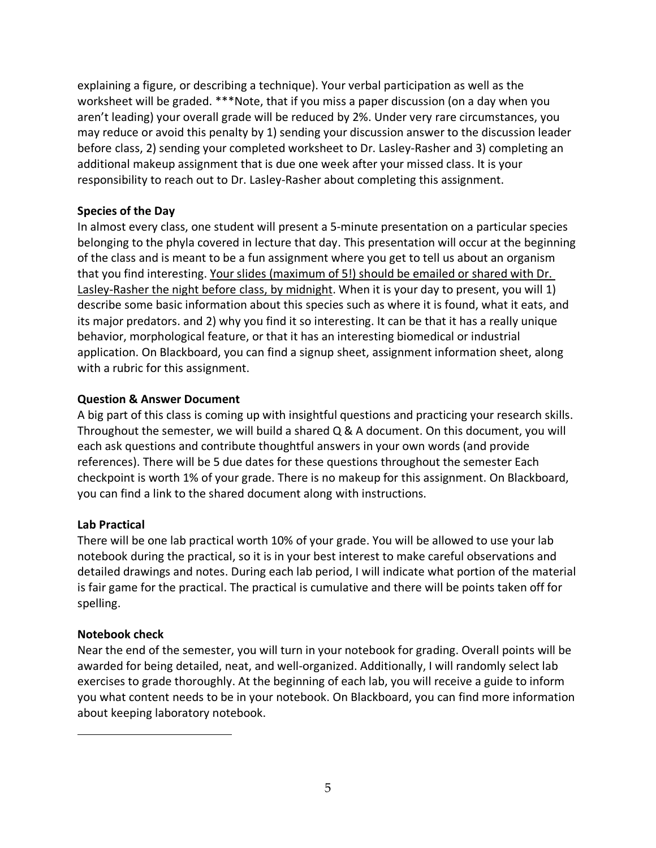explaining a figure, or describing a technique). Your verbal participation as well as the worksheet will be graded. \*\*\*Note, that if you miss a paper discussion (on a day when you aren't leading) your overall grade will be reduced by 2%. Under very rare circumstances, you may reduce or avoid this penalty by 1) sending your discussion answer to the discussion leader before class, 2) sending your completed worksheet to Dr. Lasley-Rasher and 3) completing an additional makeup assignment that is due one week after your missed class. It is your responsibility to reach out to Dr. Lasley-Rasher about completing this assignment.

### **Species of the Day**

In almost every class, one student will present a 5-minute presentation on a particular species belonging to the phyla covered in lecture that day. This presentation will occur at the beginning of the class and is meant to be a fun assignment where you get to tell us about an organism that you find interesting. Your slides (maximum of 5!) should be emailed or shared with Dr. Lasley-Rasher the night before class, by midnight. When it is your day to present, you will 1) describe some basic information about this species such as where it is found, what it eats, and its major predators. and 2) why you find it so interesting. It can be that it has a really unique behavior, morphological feature, or that it has an interesting biomedical or industrial application. On Blackboard, you can find a signup sheet, assignment information sheet, along with a rubric for this assignment.

### **Question & Answer Document**

A big part of this class is coming up with insightful questions and practicing your research skills. Throughout the semester, we will build a shared Q & A document. On this document, you will each ask questions and contribute thoughtful answers in your own words (and provide references). There will be 5 due dates for these questions throughout the semester Each checkpoint is worth 1% of your grade. There is no makeup for this assignment. On Blackboard, you can find a link to the shared document along with instructions.

## **Lab Practical**

There will be one lab practical worth 10% of your grade. You will be allowed to use your lab notebook during the practical, so it is in your best interest to make careful observations and detailed drawings and notes. During each lab period, I will indicate what portion of the material is fair game for the practical. The practical is cumulative and there will be points taken off for spelling.

## **Notebook check**

Near the end of the semester, you will turn in your notebook for grading. Overall points will be awarded for being detailed, neat, and well-organized. Additionally, I will randomly select lab exercises to grade thoroughly. At the beginning of each lab, you will receive a guide to inform you what content needs to be in your notebook. On Blackboard, you can find more information about keeping laboratory notebook.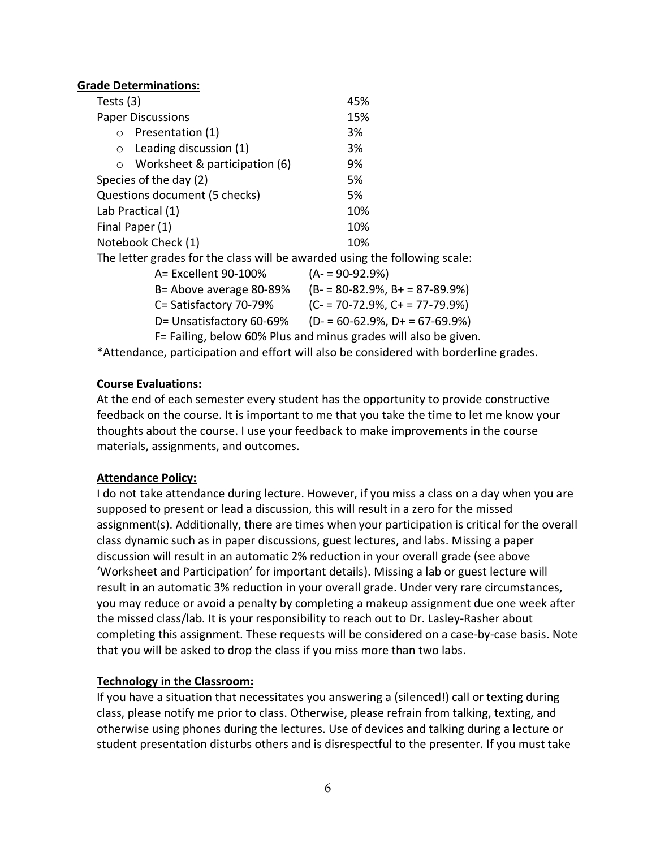|           | <b>Grade Determinations:</b>                                                   |                                                         |  |  |
|-----------|--------------------------------------------------------------------------------|---------------------------------------------------------|--|--|
| Tests (3) |                                                                                | 45%                                                     |  |  |
|           | <b>Paper Discussions</b>                                                       | 15%                                                     |  |  |
| $\circ$   | Presentation (1)                                                               | 3%                                                      |  |  |
| $\circ$   | Leading discussion (1)                                                         | 3%                                                      |  |  |
| $\circ$   | Worksheet & participation (6)                                                  | 9%                                                      |  |  |
|           | Species of the day (2)                                                         | 5%                                                      |  |  |
|           | Questions document (5 checks)                                                  | 5%                                                      |  |  |
|           | Lab Practical (1)                                                              | 10%                                                     |  |  |
|           | Final Paper (1)                                                                | 10%                                                     |  |  |
|           | Notebook Check (1)                                                             | 10%                                                     |  |  |
|           | The letter grades for the class will be awarded using the following scale:     |                                                         |  |  |
|           | A= Excellent 90-100%                                                           | $(A - 90 - 92.9%)$                                      |  |  |
|           | B= Above average 80-89%                                                        | $(B - 80 - 82.9\%, B + 87 - 89.9\%)$                    |  |  |
|           | C= Satisfactory 70-79%                                                         | $(C = 70-72.9\%, C = 77-79.9\%)$                        |  |  |
|           |                                                                                | D= Unsatisfactory 60-69% (D- = 60-62.9%, D+ = 67-69.9%) |  |  |
|           | F= Failing, below 60% Plus and minus grades will also be given.                |                                                         |  |  |
|           | $*$ Attondance, participation and offert will also be considered with berderli |                                                         |  |  |

Attendance, participation and effort will also be considered with borderline grades.

#### **Course Evaluations:**

At the end of each semester every student has the opportunity to provide constructive feedback on the course. It is important to me that you take the time to let me know your thoughts about the course. I use your feedback to make improvements in the course materials, assignments, and outcomes.

## **Attendance Policy:**

I do not take attendance during lecture. However, if you miss a class on a day when you are supposed to present or lead a discussion, this will result in a zero for the missed assignment(s). Additionally, there are times when your participation is critical for the overall class dynamic such as in paper discussions, guest lectures, and labs. Missing a paper discussion will result in an automatic 2% reduction in your overall grade (see above 'Worksheet and Participation' for important details). Missing a lab or guest lecture will result in an automatic 3% reduction in your overall grade. Under very rare circumstances, you may reduce or avoid a penalty by completing a makeup assignment due one week after the missed class/lab. It is your responsibility to reach out to Dr. Lasley-Rasher about completing this assignment. These requests will be considered on a case-by-case basis. Note that you will be asked to drop the class if you miss more than two labs.

## **Technology in the Classroom:**

If you have a situation that necessitates you answering a (silenced!) call or texting during class, please notify me prior to class. Otherwise, please refrain from talking, texting, and otherwise using phones during the lectures. Use of devices and talking during a lecture or student presentation disturbs others and is disrespectful to the presenter. If you must take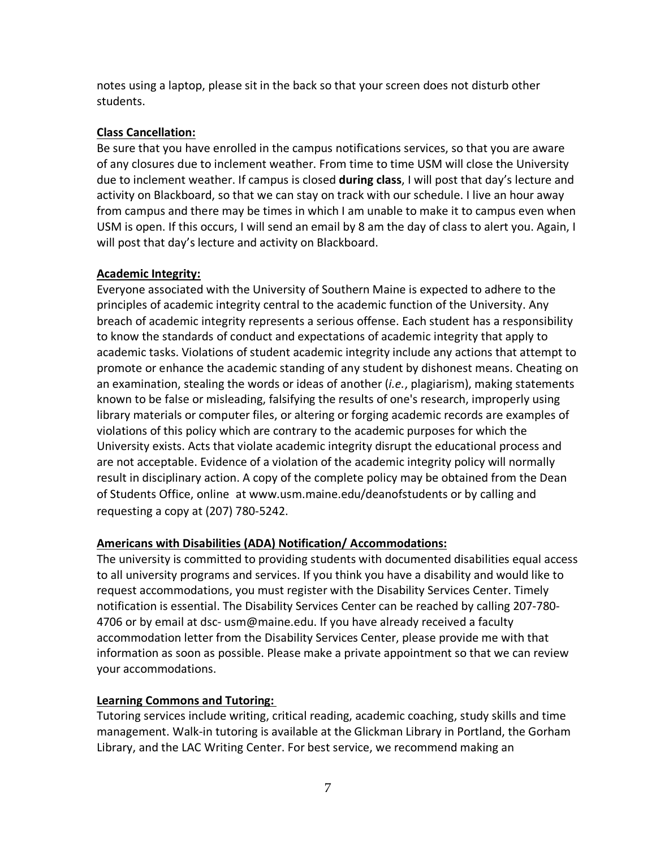notes using a laptop, please sit in the back so that your screen does not disturb other students.

### **Class Cancellation:**

Be sure that you have enrolled in the campus notifications services, so that you are aware of any closures due to inclement weather. From time to time USM will close the University due to inclement weather. If campus is closed **during class**, I will post that day's lecture and activity on Blackboard, so that we can stay on track with our schedule. I live an hour away from campus and there may be times in which I am unable to make it to campus even when USM is open. If this occurs, I will send an email by 8 am the day of class to alert you. Again, I will post that day's lecture and activity on Blackboard.

#### **Academic Integrity:**

Everyone associated with the University of Southern Maine is expected to adhere to the principles of academic integrity central to the academic function of the University. Any breach of academic integrity represents a serious offense. Each student has a responsibility to know the standards of conduct and expectations of academic integrity that apply to academic tasks. Violations of student academic integrity include any actions that attempt to promote or enhance the academic standing of any student by dishonest means. Cheating on an examination, stealing the words or ideas of another (*i.e.*, plagiarism), making statements known to be false or misleading, falsifying the results of one's research, improperly using library materials or computer files, or altering or forging academic records are examples of violations of this policy which are contrary to the academic purposes for which the University exists. Acts that violate academic integrity disrupt the educational process and are not acceptable. Evidence of a violation of the academic integrity policy will normally result in disciplinary action. A copy of the complete policy may be obtained from the Dean of Students Office, online at www.usm.maine.edu/deanofstudents or by calling and requesting a copy at (207) 780-5242.

#### **Americans with Disabilities (ADA) Notification/ Accommodations:**

The university is committed to providing students with documented disabilities equal access to all university programs and services. If you think you have a disability and would like to request accommodations, you must register with the Disability Services Center. Timely notification is essential. The Disability Services Center can be reached by calling 207-780- 4706 or by email at dsc- usm@maine.edu. If you have already received a faculty accommodation letter from the Disability Services Center, please provide me with that information as soon as possible. Please make a private appointment so that we can review your accommodations.

## **Learning Commons and Tutoring:**

Tutoring services include writing, critical reading, academic coaching, study skills and time management. Walk-in tutoring is available at the Glickman Library in Portland, the Gorham Library, and the LAC Writing Center. For best service, we recommend making an